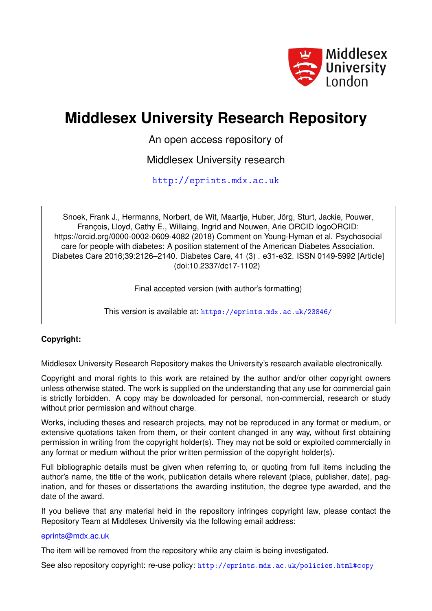

# **Middlesex University Research Repository**

An open access repository of

Middlesex University research

<http://eprints.mdx.ac.uk>

Snoek, Frank J., Hermanns, Norbert, de Wit, Maartje, Huber, Jörg, Sturt, Jackie, Pouwer, François, Lloyd, Cathy E., Willaing, Ingrid and Nouwen, Arie ORCID logoORCID: https://orcid.org/0000-0002-0609-4082 (2018) Comment on Young-Hyman et al. Psychosocial care for people with diabetes: A position statement of the American Diabetes Association. Diabetes Care 2016;39:2126–2140. Diabetes Care, 41 (3) . e31-e32. ISSN 0149-5992 [Article] (doi:10.2337/dc17-1102)

Final accepted version (with author's formatting)

This version is available at: <https://eprints.mdx.ac.uk/23846/>

## **Copyright:**

Middlesex University Research Repository makes the University's research available electronically.

Copyright and moral rights to this work are retained by the author and/or other copyright owners unless otherwise stated. The work is supplied on the understanding that any use for commercial gain is strictly forbidden. A copy may be downloaded for personal, non-commercial, research or study without prior permission and without charge.

Works, including theses and research projects, may not be reproduced in any format or medium, or extensive quotations taken from them, or their content changed in any way, without first obtaining permission in writing from the copyright holder(s). They may not be sold or exploited commercially in any format or medium without the prior written permission of the copyright holder(s).

Full bibliographic details must be given when referring to, or quoting from full items including the author's name, the title of the work, publication details where relevant (place, publisher, date), pagination, and for theses or dissertations the awarding institution, the degree type awarded, and the date of the award.

If you believe that any material held in the repository infringes copyright law, please contact the Repository Team at Middlesex University via the following email address:

#### [eprints@mdx.ac.uk](mailto:eprints@mdx.ac.uk)

The item will be removed from the repository while any claim is being investigated.

See also repository copyright: re-use policy: <http://eprints.mdx.ac.uk/policies.html#copy>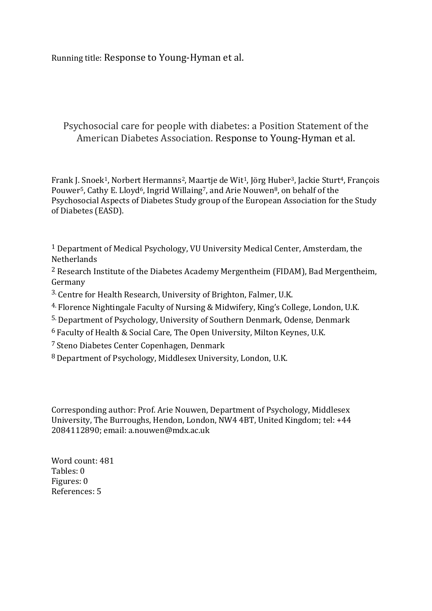Running title: Response to Young-Hyman et al.

## Psychosocial care for people with diabetes: a Position Statement of the American Diabetes Association. Response to Young-Hyman et al.

Frank J. Snoek1, Norbert Hermanns2, Maartje de Wit1, Jörg Huber3, Jackie Sturt4, François Pouwer<sup>5</sup>, Cathy E. Lloyd<sup>6</sup>, Ingrid Willaing<sup>7</sup>, and Arie Nouwen<sup>8</sup>, on behalf of the Psychosocial Aspects of Diabetes Study group of the European Association for the Study of Diabetes (EASD).

1 Department of Medical Psychology, VU University Medical Center, Amsterdam, the **Netherlands** 

<sup>2</sup> Research Institute of the Diabetes Academy Mergentheim (FIDAM), Bad Mergentheim, Germany

- 3. Centre for Health Research, University of Brighton, Falmer, U.K.
- 4. Florence Nightingale Faculty of Nursing & Midwifery, King's College, London, U.K.
- 5. Department of Psychology, University of Southern Denmark, Odense, Denmark
- 6 Faculty of Health & Social Care, The Open University, Milton Keynes, U.K.
- 7 Steno Diabetes Center Copenhagen, Denmark
- 8 Department of Psychology, Middlesex University, London, U.K.

Corresponding author: Prof. Arie Nouwen, Department of Psychology, Middlesex University, The Burroughs, Hendon, London, NW4 4BT, United Kingdom; tel: +44 2084112890; email: a.nouwen@mdx.ac.uk

Word count: 481 Tables: 0 Figures: 0 References: 5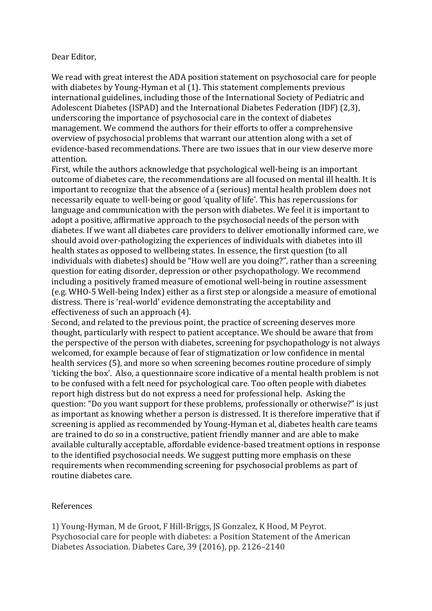### Dear Editor,

We read with great interest the ADA position statement on psychosocial care for people with diabetes by Young-Hyman et al (1). This statement complements previous international guidelines, including those of the International Society of Pediatric and Adolescent Diabetes (ISPAD) and the International Diabetes Federation (IDF) (2,3), underscoring the importance of psychosocial care in the context of diabetes management. We commend the authors for their efforts to offer a comprehensive overview of psychosocial problems that warrant our attention along with a set of evidence-based recommendations. There are two issues that in our view deserve more attention.

First, while the authors acknowledge that psychological well-being is an important outcome of diabetes care, the recommendations are all focused on mental ill health. It is important to recognize that the absence of a (serious) mental health problem does not necessarily equate to well-being or good 'quality of life'. This has repercussions for language and communication with the person with diabetes. We feel it is important to adopt a positive, affirmative approach to the psychosocial needs of the person with diabetes. If we want all diabetes care providers to deliver emotionally informed care, we should avoid over-pathologizing the experiences of individuals with diabetes into ill health states as opposed to wellbeing states. In essence, the first question (to all individuals with diabetes) should be "How well are you doing?", rather than a screening question for eating disorder, depression or other psychopathology. We recommend including a positively framed measure of emotional well-being in routine assessment (e.g. WHO-5 Well-being Index) either as a first step or alongside a measure of emotional distress. There is 'real-world' evidence demonstrating the acceptability and effectiveness of such an approach (4).

Second, and related to the previous point, the practice of screening deserves more thought, particularly with respect to patient acceptance. We should be aware that from the perspective of the person with diabetes, screening for psychopathology is not always welcomed, for example because of fear of stigmatization or low confidence in mental health services (5), and more so when screening becomes routine procedure of simply 'ticking the box'. Also, a questionnaire score indicative of a mental health problem is not to be confused with a felt need for psychological care. Too often people with diabetes report high distress but do not express a need for professional help. Asking the question: "Do you want support for these problems, professionally or otherwise?" is just as important as knowing whether a person is distressed. It is therefore imperative that if screening is applied as recommended by Young-Hyman et al, diabetes health care teams are trained to do so in a constructive, patient friendly manner and are able to make available culturally acceptable, affordable evidence-based treatment options in response to the identified psychosocial needs. We suggest putting more emphasis on these requirements when recommending screening for psychosocial problems as part of routine diabetes care.

## References

1) Young-Hyman, M de Groot, F Hill-Briggs, JS Gonzalez, K Hood, M Peyrot. Psychosocial care for people with diabetes: a Position Statement of the American Diabetes Association. Diabetes Care, 39 (2016), pp. 2126–2140